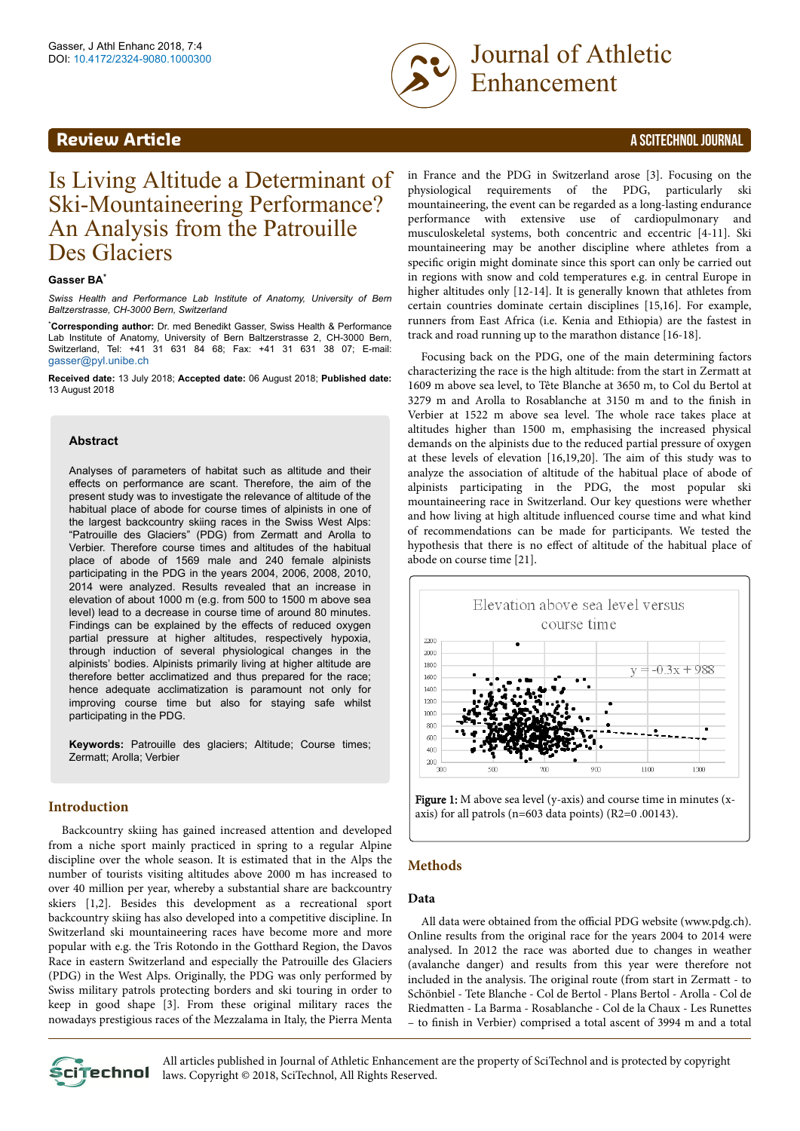# **Review Article** A SCITECHNOL JOURNAL



<span id="page-0-0"></span>Gasser, J Athl Enhanc 2018, 7:4<br>DOI: 10.4172/2324-9080.1000300 Enhancement

# Is Living Altitude a Determinant of Ski-Mountaineering Performance? An Analysis from the Patrouille Des Glaciers

#### **Gasser BA\***

*Swiss Health and Performance Lab Institute of Anatomy, University of Bern Baltzerstrasse, CH-3000 Bern, Switzerland*

\***Corresponding author:** Dr. med Benedikt Gasser, Swiss Health & Performance Lab Institute of Anatomy, University of Bern Baltzerstrasse 2, CH-3000 Bern, Switzerland, Tel: +41 31 631 84 68; Fax: +41 31 631 38 07; E-mail: [gasser@pyl.unibe.ch](mailto:gasser@pyl.unibe.ch)

**Received date:** 13 July 2018; **Accepted date:** 06 August 2018; **Published date:** 13 August 2018

#### **Abstract**

Analyses of parameters of habitat such as altitude and their effects on performance are scant. Therefore, the aim of the present study was to investigate the relevance of altitude of the habitual place of abode for course times of alpinists in one of the largest backcountry skiing races in the Swiss West Alps: "Patrouille des Glaciers" (PDG) from Zermatt and Arolla to Verbier. Therefore course times and altitudes of the habitual place of abode of 1569 male and 240 female alpinists participating in the PDG in the years 2004, 2006, 2008, 2010, 2014 were analyzed. Results revealed that an increase in elevation of about 1000 m (e.g. from 500 to 1500 m above sea level) lead to a decrease in course time of around 80 minutes. Findings can be explained by the effects of reduced oxygen partial pressure at higher altitudes, respectively hypoxia, through induction of several physiological changes in the alpinists' bodies. Alpinists primarily living at higher altitude are therefore better acclimatized and thus prepared for the race; hence adequate acclimatization is paramount not only for improving course time but also for staying safe whilst participating in the PDG.

**Keywords:** Patrouille des glaciers; Altitude; Course times; Zermatt; Arolla; Verbier

#### **Introduction**

Backcountry skiing has gained increased attention and developed from a niche sport mainly practiced in spring to a regular Alpine discipline over the whole season. It is estimated that in the Alps the number of tourists visiting altitudes above 2000 m has increased to over 40 million per year, whereby a substantial share are backcountry skiers [1,2]. Besides this development as a recreational sport backcountry skiing has also developed into a competitive discipline. In Switzerland ski mountaineering races have become more and more popular with e.g. the Tris Rotondo in the Gotthard Region, the Davos Race in eastern Switzerland and especially the Patrouille des Glaciers (PDG) in the West Alps. Originally, the PDG was only performed by Swiss military patrols protecting borders and ski touring in order to keep in good shape [3]. From these original military races the nowadays prestigious races of the Mezzalama in Italy, the Pierra Menta

in France and the PDG in Switzerland arose [3]. Focusing on the physiological requirements of the PDG, particularly ski mountaineering, the event can be regarded as a long-lasting endurance performance with extensive use of cardiopulmonary and musculoskeletal systems, both concentric and eccentric [4-11]. Ski mountaineering may be another discipline where athletes from a specific origin might dominate since this sport can only be carried out in regions with snow and cold temperatures e.g. in central Europe in higher altitudes only [12-14]. It is generally known that athletes from certain countries dominate certain disciplines [15,16]. For example, runners from East Africa (i.e. Kenia and Ethiopia) are the fastest in track and road running up to the marathon distance [16-18].

Focusing back on the PDG, one of the main determining factors characterizing the race is the high altitude: from the start in Zermatt at 1609 m above sea level, to Tête Blanche at 3650 m, to Col du Bertol at 3279 m and Arolla to Rosablanche at 3150 m and to the finish in Verbier at 1522 m above sea level. Нe whole race takes place at altitudes higher than 1500 m, emphasising the increased physical demands on the alpinists due to the reduced partial pressure of oxygen at these levels of elevation [16,19,20]. Нe aim of this study was to analyze the association of altitude of the habitual place of abode of alpinists participating in the PDG, the most popular ski mountaineering race in Switzerland. Our key questions were whether and how living at high altitude influenced course time and what kind of recommendations can be made for participants. We tested the hypothesis that there is no effect of altitude of the habitual place of abode on course time [21].



Figure 1: M above sea level (y-axis) and course time in minutes (xaxis) for all patrols (n=603 data points) (R2=0 .00143).

# **Methods**

#### **Data**

All data were obtained from the official PDG website (www.pdg.ch). Online results from the original race for the years 2004 to 2014 were analysed. In 2012 the race was aborted due to changes in weather (avalanche danger) and results from this year were therefore not included in the analysis. Нe original route (from start in Zermatt - to Schönbiel - Tete Blanche - Col de Bertol - Plans Bertol - Arolla - Col de Riedmatten - La Barma - Rosablanche - Col de la Chaux - Les Runettes – to finish in Verbier) comprised a total ascent of 3994 m and a total



All articles published in Journal of Athletic Enhancement are the property of SciTechnol and is protected by copyright **Clitechnol** laws. Copyright © 2018, SciTechnol, All Rights Reserved.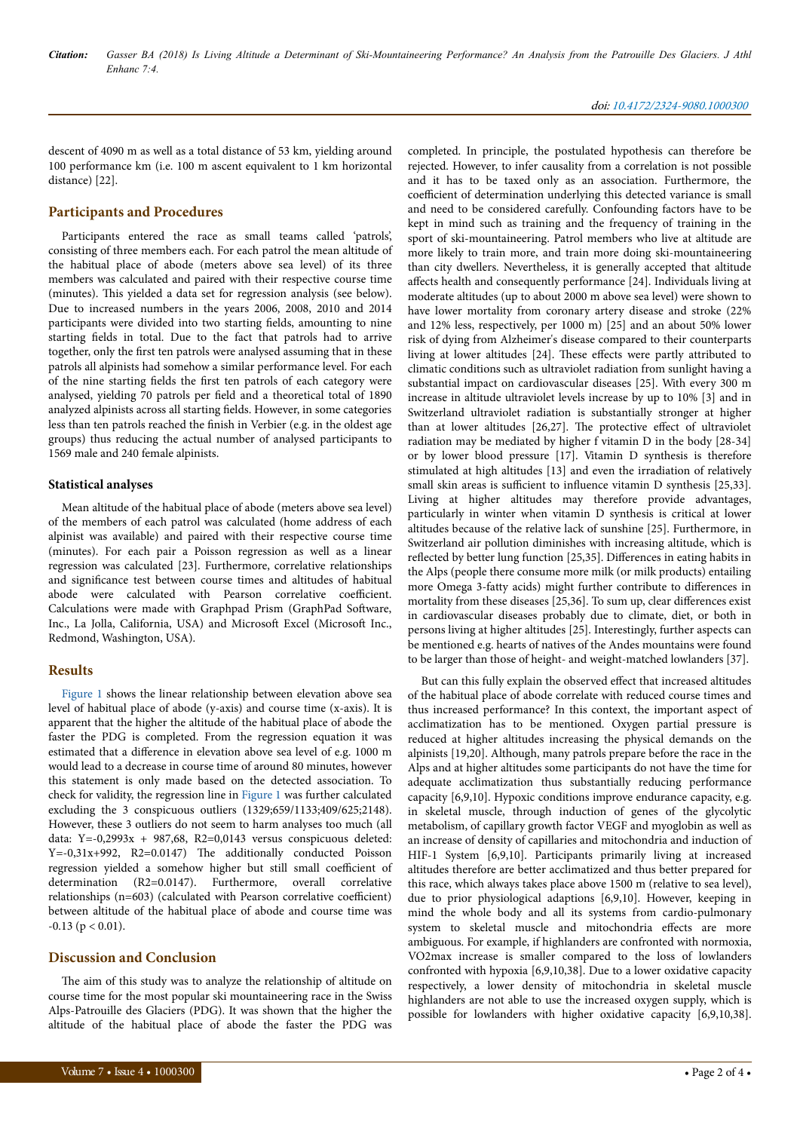descent of 4090 m as well as a total distance of 53 km, yielding around 100 performance km (i.e. 100 m ascent equivalent to 1 km horizontal distance) [22].

# **Participants and Procedures**

Participants entered the race as small teams called 'patrols', consisting of three members each. For each patrol the mean altitude of the habitual place of abode (meters above sea level) of its three members was calculated and paired with their respective course time (minutes). Нis yielded a data set for regression analysis (see below). Due to increased numbers in the years 2006, 2008, 2010 and 2014 participants were divided into two starting fields, amounting to nine starting fields in total. Due to the fact that patrols had to arrive together, only the first ten patrols were analysed assuming that in these patrols all alpinists had somehow a similar performance level. For each of the nine starting fields the first ten patrols of each category were analysed, yielding 70 patrols per field and a theoretical total of 1890 analyzed alpinists across all starting fields. However, in some categories less than ten patrols reached the finish in Verbier (e.g. in the oldest age groups) thus reducing the actual number of analysed participants to 1569 male and 240 female alpinists.

# **Statistical analyses**

Mean altitude of the habitual place of abode (meters above sea level) of the members of each patrol was calculated (home address of each alpinist was available) and paired with their respective course time (minutes). For each pair a Poisson regression as well as a linear regression was calculated [23]. Furthermore, correlative relationships and significance test between course times and altitudes of habitual abode were calculated with Pearson correlative coefficient. Calculations were made with Graphpad Prism (GraphPad Software, Inc., La Jolla, California, USA) and Microsoft Excel (Microsoft Inc., Redmond, Washington, USA).

# **Results**

[Figure 1](#page-0-0) shows the linear relationship between elevation above sea level of habitual place of abode (y-axis) and course time (x-axis). It is apparent that the higher the altitude of the habitual place of abode the faster the PDG is completed. From the regression equation it was estimated that a difference in elevation above sea level of e.g. 1000 m would lead to a decrease in course time of around 80 minutes, however this statement is only made based on the detected association. To check for validity, the regression line in [Figure 1](#page-0-0) was further calculated excluding the 3 conspicuous outliers (1329;659/1133;409/625;2148). However, these 3 outliers do not seem to harm analyses too much (all data: Y=-0,2993x + 987,68, R2=0,0143 versus conspicuous deleted: Y=-0,31x+992, R2=0.0147) Нe additionally conducted Poisson regression yielded a somehow higher but still small coefficient of determination (R2=0.0147). Furthermore, overall correlative  $relationships (n=603) (calculated with Pearson correlative coefficient)$ between altitude of the habitual place of abode and course time was  $-0.13$  ( $p < 0.01$ ).

# **Discussion and Conclusion**

The aim of this study was to analyze the relationship of altitude on course time for the most popular ski mountaineering race in the Swiss Alps-Patrouille des Glaciers (PDG). It was shown that the higher the altitude of the habitual place of abode the faster the PDG was

completed. In principle, the postulated hypothesis can therefore be rejected. However, to infer causality from a correlation is not possible and it has to be taxed only as an association. Furthermore, the coefficient of determination underlying this detected variance is small and need to be considered carefully. Confounding factors have to be kept in mind such as training and the frequency of training in the sport of ski-mountaineering. Patrol members who live at altitude are more likely to train more, and train more doing ski-mountaineering than city dwellers. Nevertheless, it is generally accepted that altitude affects health and consequently performance [24]. Individuals living at moderate altitudes (up to about 2000 m above sea level) were shown to have lower mortality from coronary artery disease and stroke (22% and 12% less, respectively, per 1000 m) [25] and an about 50% lower risk of dying from Alzheimer's disease compared to their counterparts living at lower altitudes [24]. These effects were partly attributed to climatic conditions such as ultraviolet radiation from sunlight having a substantial impact on cardiovascular diseases [25]. With every 300 m increase in altitude ultraviolet levels increase by up to 10% [3] and in Switzerland ultraviolet radiation is substantially stronger at higher than at lower altitudes  $[26,27]$ . The protective effect of ultraviolet radiation may be mediated by higher f vitamin D in the body [28-34] or by lower blood pressure [17]. Vitamin D synthesis is therefore stimulated at high altitudes [13] and even the irradiation of relatively small skin areas is sufficient to influence vitamin D synthesis [25,33]. Living at higher altitudes may therefore provide advantages, particularly in winter when vitamin D synthesis is critical at lower altitudes because of the relative lack of sunshine [25]. Furthermore, in Switzerland air pollution diminishes with increasing altitude, which is reflected by better lung function [25,35]. Differences in eating habits in the Alps (people there consume more milk (or milk products) entailing more Omega 3-fatty acids) might further contribute to differences in mortality from these diseases [25,36]. To sum up, clear differences exist in cardiovascular diseases probably due to climate, diet, or both in persons living at higher altitudes [25]. Interestingly, further aspects can be mentioned e.g. hearts of natives of the Andes mountains were found to be larger than those of height- and weight-matched lowlanders [37].

But can this fully explain the observed effect that increased altitudes of the habitual place of abode correlate with reduced course times and thus increased performance? In this context, the important aspect of acclimatization has to be mentioned. Oxygen partial pressure is reduced at higher altitudes increasing the physical demands on the alpinists [19,20]. Although, many patrols prepare before the race in the Alps and at higher altitudes some participants do not have the time for adequate acclimatization thus substantially reducing performance capacity [6,9,10]. Hypoxic conditions improve endurance capacity, e.g. in skeletal muscle, through induction of genes of the glycolytic metabolism, of capillary growth factor VEGF and myoglobin as well as an increase of density of capillaries and mitochondria and induction of HIF-1 System [6,9,10]. Participants primarily living at increased altitudes therefore are better acclimatized and thus better prepared for this race, which always takes place above 1500 m (relative to sea level), due to prior physiological adaptions [6,9,10]. However, keeping in mind the whole body and all its systems from cardio-pulmonary system to skeletal muscle and mitochondria effects are more ambiguous. For example, if highlanders are confronted with normoxia, VO2max increase is smaller compared to the loss of lowlanders confronted with hypoxia [6,9,10,38]. Due to a lower oxidative capacity respectively, a lower density of mitochondria in skeletal muscle highlanders are not able to use the increased oxygen supply, which is possible for lowlanders with higher oxidative capacity [6,9,10,38].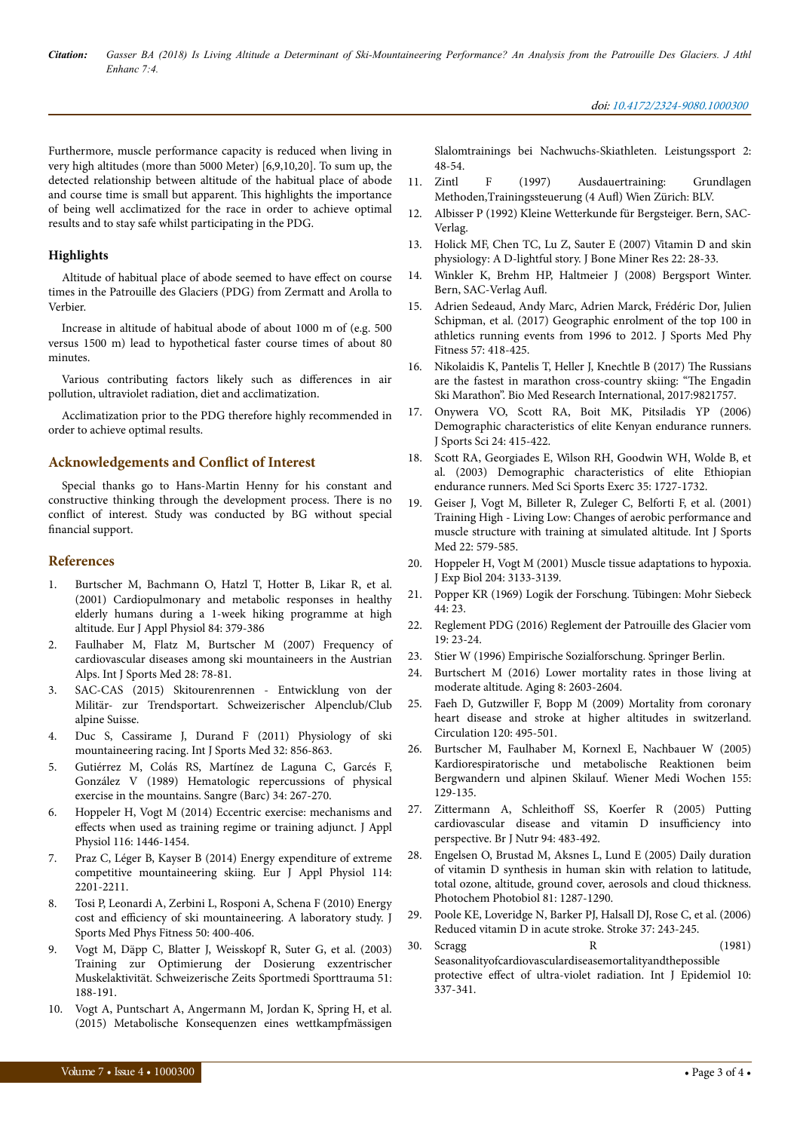*Citation: Gasser BA (2018) Is Living Altitude a Determinant of Ski-Mountaineering Performance? An Analysis from the Patrouille Des Glaciers. J Athl Enhanc 7:4.*

#### doi: 10.4172/2324-9080.1000300

Furthermore, muscle performance capacity is reduced when living in very high altitudes (more than 5000 Meter) [6,9,10,20]. To sum up, the detected relationship between altitude of the habitual place of abode and course time is small but apparent. Нis highlights the importance of being well acclimatized for the race in order to achieve optimal results and to stay safe whilst participating in the PDG.

### **Highlights**

Altitude of habitual place of abode seemed to have effect on course times in the Patrouille des Glaciers (PDG) from Zermatt and Arolla to Verbier.

Increase in altitude of habitual abode of about 1000 m of (e.g. 500 versus 1500 m) lead to hypothetical faster course times of about 80 minutes.

Various contributing factors likely such as differences in air pollution, ultraviolet radiation, diet and acclimatization.

Acclimatization prior to the PDG therefore highly recommended in order to achieve optimal results.

# **Acknowledgements and Conflict of Interest**

Special thanks go to Hans-Martin Henny for his constant and constructive thinking through the development process. Нere is no conflict of interest. Study was conducted by BG without special financial support.

#### **References**

- 1. [Burtscher M, Bachmann O, Hatzl T, Hotter B, Likar R, et al.](https://dx.doi.org/10.1007/s004210100393) [\(2001\) Cardiopulmonary and metabolic responses in healthy](https://dx.doi.org/10.1007/s004210100393) [elderly humans during a 1-week hiking programme at high](https://dx.doi.org/10.1007/s004210100393) [altitude. Eur J Appl Physiol 84: 379-386](https://dx.doi.org/10.1007/s004210100393)
- 2. [Faulhaber M, Flatz M, Burtscher M \(2007\) Frequency of](http://www.thieme-connect.com/DOI/DOI?10.1055/s-2006-924053) [cardiovascular diseases among ski mountaineers in the Austrian](http://www.thieme-connect.com/DOI/DOI?10.1055/s-2006-924053) [Alps. Int J Sports Med 28: 78-81.](http://www.thieme-connect.com/DOI/DOI?10.1055/s-2006-924053)
- 3. SAC-CAS (2015) Skitourenrennen Entwicklung von der Militär- zur Trendsportart. Schweizerischer Alpenclub/Club alpine Suisse.
- 4. [Duc S, Cassirame J, Durand F \(2011\) Physiology of ski](http://www.thieme-connect.com/DOI/DOI?10.1055/s-0031-1279721) [mountaineering racing. Int J Sports Med 32: 856-863.](http://www.thieme-connect.com/DOI/DOI?10.1055/s-0031-1279721)
- 5. Gutiérrez M, Colás RS, Martínez de Laguna C, Garcés F, González V (1989) Hematologic repercussions of physical exercise in the mountains. Sangre (Barc) 34: 267-270.
- 6. [Hoppeler H, Vogt M \(2014\) Eccentric exercise: mechanisms and](http://www.physiology.org/doi/abs/10.1152/japplphysiol.00146.2013?url_ver=Z39.88-2003&rfr_id=ori:rid:crossref.org&rfr_dat=cr_pub%3dpubmed.) effects [when used as training regime or training adjunct. J Appl](http://www.physiology.org/doi/abs/10.1152/japplphysiol.00146.2013?url_ver=Z39.88-2003&rfr_id=ori:rid:crossref.org&rfr_dat=cr_pub%3dpubmed.) [Physiol 116: 1446-1454.](http://www.physiology.org/doi/abs/10.1152/japplphysiol.00146.2013?url_ver=Z39.88-2003&rfr_id=ori:rid:crossref.org&rfr_dat=cr_pub%3dpubmed.)
- 7. [Praz C, Léger B, Kayser B \(2014\) Energy expenditure of extreme](https://dx.doi.org/10.1007/s00421-014-2939-1) [competitive mountaineering skiing. Eur J Appl Physiol 114:](https://dx.doi.org/10.1007/s00421-014-2939-1) [2201-2211.](https://dx.doi.org/10.1007/s00421-014-2939-1)
- 8. [Tosi P, Leonardi A, Zerbini L, Rosponi A, Schena F \(2010\) Energy](http://www.minervamedica.it/index2.t?show=R40Y2010N04A0400) cost and efficiency [of ski mountaineering. A laboratory study. J](http://www.minervamedica.it/index2.t?show=R40Y2010N04A0400) [Sports Med Phys Fitness 50: 400-406.](http://www.minervamedica.it/index2.t?show=R40Y2010N04A0400)
- 9. [Vogt M, Däpp C, Blatter J, Weisskopf R, Suter G, et al. \(2003\)](https://www.bisp-surf.de/Record/PU200801000102) [Training zur Optimierung der Dosierung exzentrischer](https://www.bisp-surf.de/Record/PU200801000102) [Muskelaktivität. Schweizerische Zeits Sportmedi Sporttrauma 51:](https://www.bisp-surf.de/Record/PU200801000102) [188-191.](https://www.bisp-surf.de/Record/PU200801000102)
- 10. [Vogt A, Puntschart A, Angermann M, Jordan K, Spring H, et al.](https://www.iat.uni-leipzig.de/datenbanken/iks/ls/Record/2000243) [\(2015\) Metabolische Konsequenzen eines wettkampfmässigen](https://www.iat.uni-leipzig.de/datenbanken/iks/ls/Record/2000243)

[Slalomtrainings bei Nachwuchs-Skiathleten. Leistungssport 2:](https://www.iat.uni-leipzig.de/datenbanken/iks/ls/Record/2000243) [48-54.](https://www.iat.uni-leipzig.de/datenbanken/iks/ls/Record/2000243)

- 11. Zintl F (1997) Ausdauertraining: Grundlagen Methoden, Trainingssteuerung (4 Aufl) Wien Zürich: BLV.
- 12. Albisser P (1992) Kleine Wetterkunde für Bergsteiger. Bern, SAC-Verlag.
- 13. [Holick MF, Chen TC, Lu Z, Sauter E \(2007\) Vitamin D and skin](https://doi.org/10.1359/jbmr.07s211) [physiology: A D-lightful story. J Bone Miner Res 22: 28-33.](https://doi.org/10.1359/jbmr.07s211)
- 14. [Winkler K, Brehm HP, Haltmeier J \(2008\) Bergsport Winter.](http://www.sac-cas.ch/fileadmin/sac/PDF-Dateien/Unterwegs/Updates_Buecher/AEnderungen_Bergsport_Winter_3._Auflage.pdf) [Bern, SAC-Verlag](http://www.sac-cas.ch/fileadmin/sac/PDF-Dateien/Unterwegs/Updates_Buecher/AEnderungen_Bergsport_Winter_3._Auflage.pdf) Aufl.
- 15. [Adrien Sedeaud, Andy Marc, Adrien Marck, Frédéric Dor, Julien](https://hal-insep.archives-ouvertes.fr/hal-01771672/document) [Schipman, et al. \(2017\) Geographic enrolment of the top 100 in](https://hal-insep.archives-ouvertes.fr/hal-01771672/document) [athletics running events from 1996 to 2012. J Sports Med Phy](https://hal-insep.archives-ouvertes.fr/hal-01771672/document) [Fitness 57: 418-425.](https://hal-insep.archives-ouvertes.fr/hal-01771672/document)
- 16. [Nikolaidis K, Pantelis T, Heller J, Knechtle B \(2017\)](https://www.hindawi.com/journals/bmri/2017/9821757/) Нe Russians [are the fastest in marathon cross-country skiing:](https://www.hindawi.com/journals/bmri/2017/9821757/) "The Engadin [Ski Marathon". Bio Med Research International, 2017:9821757.](https://www.hindawi.com/journals/bmri/2017/9821757/)
- 17. [Onywera VO, Scott RA, Boit MK, Pitsiladis YP \(2006\)](https://pdfs.semanticscholar.org/77a8/41f2a57b74a6cc3a62b9795bc6c1735d2ecc.pdf) [Demographic characteristics of elite Kenyan endurance runners.](https://pdfs.semanticscholar.org/77a8/41f2a57b74a6cc3a62b9795bc6c1735d2ecc.pdf) [J Sports Sci 24: 415-422.](https://pdfs.semanticscholar.org/77a8/41f2a57b74a6cc3a62b9795bc6c1735d2ecc.pdf)
- 18. [Scott RA, Georgiades E, Wilson RH, Goodwin WH, Wolde B, et](http://insights.ovid.com/pubmed?pmid=14523311) [al. \(2003\) Demographic characteristics of elite Ethiopian](http://insights.ovid.com/pubmed?pmid=14523311) [endurance runners. Med Sci Sports Exerc 35: 1727-1732.](http://insights.ovid.com/pubmed?pmid=14523311)
- 19. [Geiser J, Vogt M, Billeter R, Zuleger C, Belforti F, et al. \(2001\)](http://www.thieme-connect.com/DOI/DOI?10.1055/s-2001-18521) [Training High - Living Low: Changes of aerobic performance and](http://www.thieme-connect.com/DOI/DOI?10.1055/s-2001-18521) [muscle structure with training at simulated altitude. Int J Sports](http://www.thieme-connect.com/DOI/DOI?10.1055/s-2001-18521) [Med 22: 579-585.](http://www.thieme-connect.com/DOI/DOI?10.1055/s-2001-18521)
- 20. [Hoppeler H, Vogt M \(2001\) Muscle tissue adaptations to hypoxia.](http://jeb.biologists.org/cgi/pmidlookup?view=long&pmid=11581327) [J Exp Biol 204: 3133-3139.](http://jeb.biologists.org/cgi/pmidlookup?view=long&pmid=11581327)
- 21. [Popper KR \(1969\) Logik der Forschung. Tübingen: Mohr Siebeck](https://link.springer.com/article/10.1007/BF01699364) [44: 23.](https://link.springer.com/article/10.1007/BF01699364)
- 22. Reglement PDG (2016) Reglement der Patrouille des Glacier vom 19: 23-24.
- 23. Stier W (1996) Empirische Sozialforschung. Springer Berlin.
- 24. [Burtschert M \(2016\) Lower mortality rates in those living at](http://www.impactaging.com/full/8/2603) [moderate altitude. Aging 8: 2603-2604.](http://www.impactaging.com/full/8/2603)
- 25. [Faeh D, Gutzwiller F, Bopp M \(2009\) Mortality from coronary](https://www.ahajournals.org/doi/10.1161/CIRCULATIONAHA.108.819250) [heart disease and stroke at higher altitudes in switzerland.](https://www.ahajournals.org/doi/10.1161/CIRCULATIONAHA.108.819250) [Circulation 120: 495-501.](https://www.ahajournals.org/doi/10.1161/CIRCULATIONAHA.108.819250)
- 26. [Burtscher M, Faulhaber M, Kornexl E, Nachbauer W \(2005\)](https://link.springer.com/article/10.1007/s10354-005-0160-x) [Kardiorespiratorische und metabolische Reaktionen beim](https://link.springer.com/article/10.1007/s10354-005-0160-x) [Bergwandern und alpinen Skilauf. Wiener Medi Wochen 155:](https://link.springer.com/article/10.1007/s10354-005-0160-x) [129-135.](https://link.springer.com/article/10.1007/s10354-005-0160-x)
- Zittermann A, Schleithoff [SS, Koerfer R \(2005\) Putting](https://www.cambridge.org/core/product/identifier/S0007114505002060/type/journal_article) [cardiovascular disease and vitamin D](https://www.cambridge.org/core/product/identifier/S0007114505002060/type/journal_article) insufficiency into [perspective. Br J Nutr 94: 483-492.](https://www.cambridge.org/core/product/identifier/S0007114505002060/type/journal_article)
- 28. [Engelsen O, Brustad M, Aksnes L, Lund E \(2005\) Daily duration](https://doi.org/10.1562/2004-11-19-RN-375) [of vitamin D synthesis in human skin with relation to latitude,](https://doi.org/10.1562/2004-11-19-RN-375) [total ozone, altitude, ground cover, aerosols and cloud thickness.](https://doi.org/10.1562/2004-11-19-RN-375) [Photochem Photobiol 81: 1287-1290.](https://doi.org/10.1562/2004-11-19-RN-375)
- 29. [Poole KE, Loveridge N, Barker PJ, Halsall DJ, Rose C, et al. \(2006\)](https://www.semanticscholar.org/paper/Reduced-vitamin-D-in-acute-stroke.-Poole-Loveridge/73991feda7258700bcf8b49f49941a18e9898e83) [Reduced vitamin D in acute stroke. Stroke 37: 243-245.](https://www.semanticscholar.org/paper/Reduced-vitamin-D-in-acute-stroke.-Poole-Loveridge/73991feda7258700bcf8b49f49941a18e9898e83)
- 30. Scragg R (1981) Seasonalityofcardiovasculardiseasemortalityandthepossible protective effect of ultra-violet radiation. Int J Epidemiol 10: 337-341.